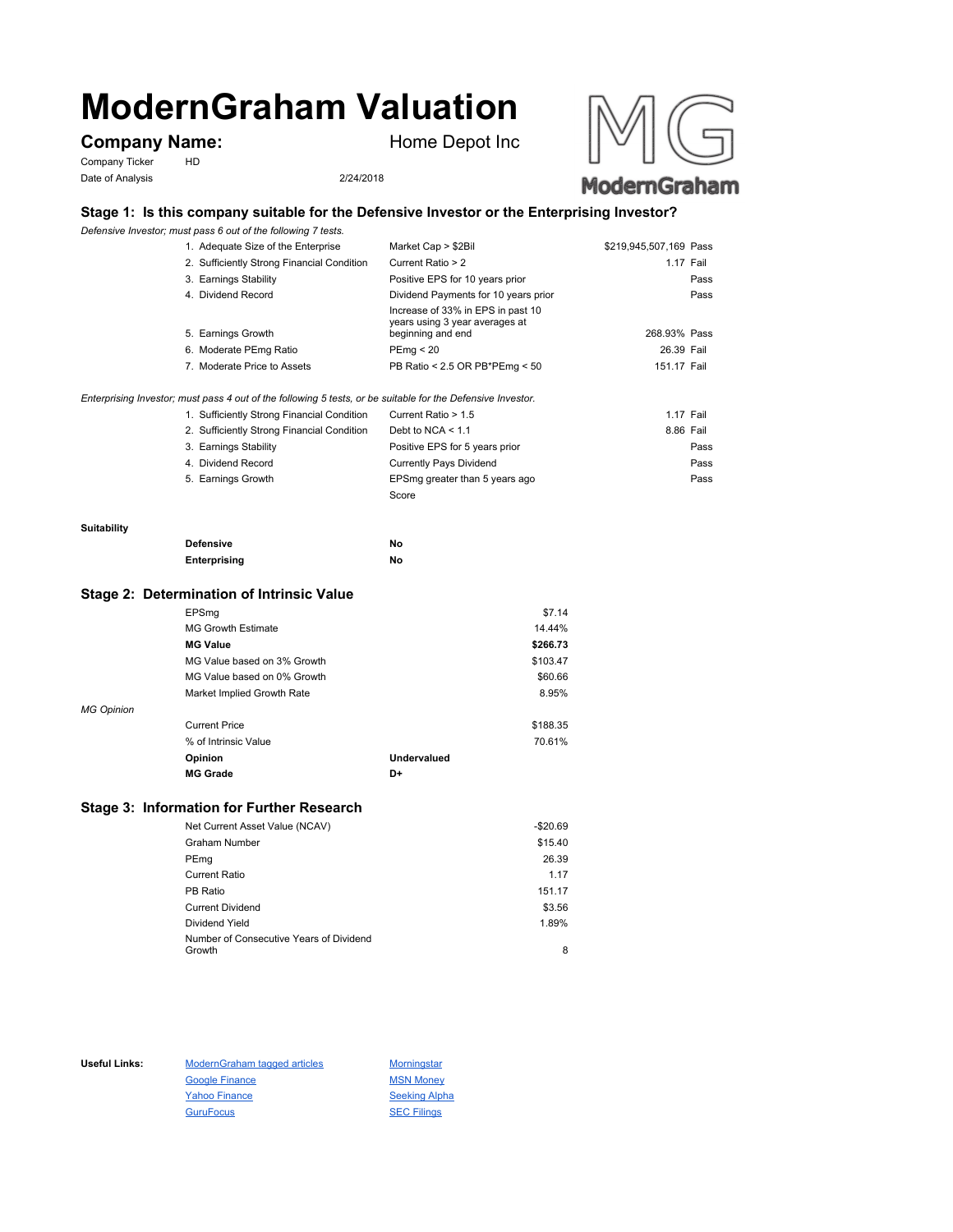# **ModernGraham Valuation**

# **Company Name:** Home Depot Inc

Company Ticker HD Date of Analysis 2/24/2018





## **Stage 1: Is this company suitable for the Defensive Investor or the Enterprising Investor?**

*Defensive Investor; must pass 6 out of the following 7 tests.*

| 1. Adequate Size of the Enterprise                                                                          | Market Cap > \$2Bil                                                                      | \$219,945,507,169 Pass |      |
|-------------------------------------------------------------------------------------------------------------|------------------------------------------------------------------------------------------|------------------------|------|
| 2. Sufficiently Strong Financial Condition                                                                  | Current Ratio > 2                                                                        | 1.17 Fail              |      |
| 3. Earnings Stability                                                                                       | Positive EPS for 10 years prior                                                          |                        | Pass |
| 4. Dividend Record                                                                                          | Dividend Payments for 10 years prior                                                     |                        | Pass |
| 5. Earnings Growth                                                                                          | Increase of 33% in EPS in past 10<br>years using 3 year averages at<br>beginning and end | 268.93% Pass           |      |
| 6. Moderate PEmg Ratio                                                                                      | PEmg < 20                                                                                | 26.39 Fail             |      |
| 7. Moderate Price to Assets                                                                                 | PB Ratio < 2.5 OR PB*PEmg < 50                                                           | 151.17 Fail            |      |
| Enterprising Investor; must pass 4 out of the following 5 tests, or be suitable for the Defensive Investor. |                                                                                          |                        |      |

| 1. Sufficiently Strong Financial Condition | Current Ratio > 1.5            | 1.17 Fail |      |
|--------------------------------------------|--------------------------------|-----------|------|
| 2. Sufficiently Strong Financial Condition | Debt to NCA $<$ 1.1            | 8.86 Fail |      |
| 3. Earnings Stability                      | Positive EPS for 5 years prior |           | Pass |
| 4. Dividend Record                         | <b>Currently Pays Dividend</b> |           | Pass |
| 5. Earnings Growth                         | EPSmg greater than 5 years ago |           | Pass |
|                                            | Score                          |           |      |

#### **Suitability**

| <b>Defensive</b> | Νo |
|------------------|----|
| Enterprising     | Νo |

#### **Stage 2: Determination of Intrinsic Value**

|                   | EPSmg                       |             | \$7.14   |
|-------------------|-----------------------------|-------------|----------|
|                   | <b>MG Growth Estimate</b>   |             | 14.44%   |
|                   | <b>MG Value</b>             |             | \$266.73 |
|                   | MG Value based on 3% Growth |             | \$103.47 |
|                   | MG Value based on 0% Growth |             | \$60.66  |
|                   | Market Implied Growth Rate  |             | 8.95%    |
| <b>MG Opinion</b> |                             |             |          |
|                   | <b>Current Price</b>        |             | \$188.35 |
|                   | % of Intrinsic Value        |             | 70.61%   |
|                   | Opinion                     | Undervalued |          |
|                   | <b>MG Grade</b>             | D+          |          |
|                   |                             |             |          |

## **Stage 3: Information for Further Research**

| Net Current Asset Value (NCAV)          | $-$20.69$ |
|-----------------------------------------|-----------|
| Graham Number                           | \$15.40   |
| PEmg                                    | 26.39     |
| Current Ratio                           | 1.17      |
| PB Ratio                                | 151.17    |
| <b>Current Dividend</b>                 | \$3.56    |
| Dividend Yield                          | 1.89%     |
| Number of Consecutive Years of Dividend |           |
| Growth                                  | 8         |

Useful Links: ModernGraham tagged articles Morningstar Google Finance MSN Money Yahoo Finance Seeking Alpha GuruFocus SEC Filings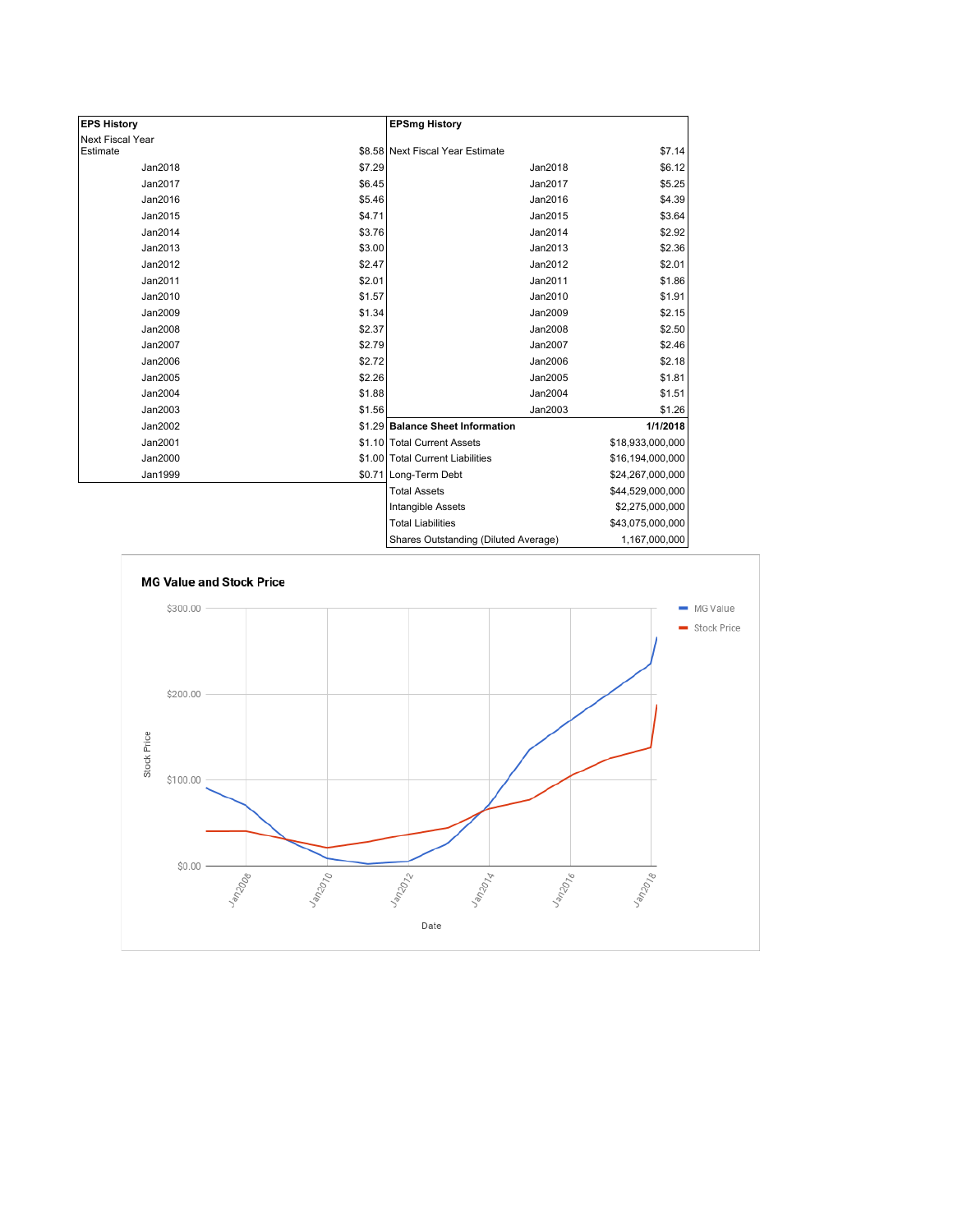| <b>EPS History</b> |        | <b>EPSmg History</b>                 |                  |
|--------------------|--------|--------------------------------------|------------------|
| Next Fiscal Year   |        |                                      |                  |
| Estimate           |        | \$8.58 Next Fiscal Year Estimate     | \$7.14           |
| Jan2018            | \$7.29 | Jan2018                              | \$6.12           |
| Jan2017            | \$6.45 | Jan2017                              | \$5.25           |
| Jan2016            | \$5.46 | Jan2016                              | \$4.39           |
| Jan2015            | \$4.71 | Jan2015                              | \$3.64           |
| Jan2014            | \$3.76 | Jan2014                              | \$2.92           |
| Jan2013            | \$3.00 | Jan2013                              | \$2.36           |
| Jan2012            | \$2.47 | Jan2012                              | \$2.01           |
| Jan2011            | \$2.01 | Jan2011                              | \$1.86           |
| Jan2010            | \$1.57 | Jan2010                              | \$1.91           |
| Jan2009            | \$1.34 | Jan2009                              | \$2.15           |
| Jan2008            | \$2.37 | Jan2008                              | \$2.50           |
| Jan2007            | \$2.79 | Jan2007                              | \$2.46           |
| Jan2006            | \$2.72 | Jan2006                              | \$2.18           |
| Jan2005            | \$2.26 | Jan2005                              | \$1.81           |
| Jan2004            | \$1.88 | Jan2004                              | \$1.51           |
| Jan2003            | \$1.56 | Jan2003                              | \$1.26           |
| Jan2002            |        | \$1.29 Balance Sheet Information     | 1/1/2018         |
| Jan2001            |        | \$1.10 Total Current Assets          | \$18,933,000,000 |
| Jan2000            |        | \$1.00 Total Current Liabilities     | \$16,194,000,000 |
| Jan1999            |        | \$0.71 Long-Term Debt                | \$24,267,000,000 |
|                    |        | <b>Total Assets</b>                  | \$44,529,000,000 |
|                    |        | Intangible Assets                    | \$2,275,000,000  |
|                    |        | <b>Total Liabilities</b>             | \$43,075,000,000 |
|                    |        | Shares Outstanding (Diluted Average) | 1,167,000,000    |